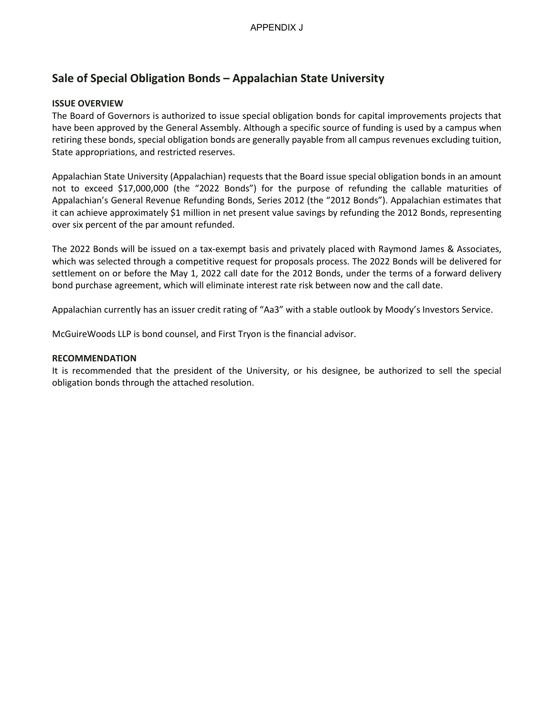# **Sale of Special Obligation Bonds – Appalachian State University**

## **ISSUE OVERVIEW**

The Board of Governors is authorized to issue special obligation bonds for capital improvements projects that have been approved by the General Assembly. Although a specific source of funding is used by a campus when retiring these bonds, special obligation bonds are generally payable from all campus revenues excluding tuition, State appropriations, and restricted reserves.

Appalachian State University (Appalachian) requests that the Board issue special obligation bonds in an amount not to exceed \$17,000,000 (the "2022 Bonds") for the purpose of refunding the callable maturities of Appalachian's General Revenue Refunding Bonds, Series 2012 (the "2012 Bonds"). Appalachian estimates that it can achieve approximately \$1 million in net present value savings by refunding the 2012 Bonds, representing over six percent of the par amount refunded.

The 2022 Bonds will be issued on a tax-exempt basis and privately placed with Raymond James & Associates, which was selected through a competitive request for proposals process. The 2022 Bonds will be delivered for settlement on or before the May 1, 2022 call date for the 2012 Bonds, under the terms of a forward delivery bond purchase agreement, which will eliminate interest rate risk between now and the call date.

Appalachian currently has an issuer credit rating of "Aa3" with a stable outlook by Moody's Investors Service.

McGuireWoods LLP is bond counsel, and First Tryon is the financial advisor.

### **RECOMMENDATION**

It is recommended that the president of the University, or his designee, be authorized to sell the special obligation bonds through the attached resolution.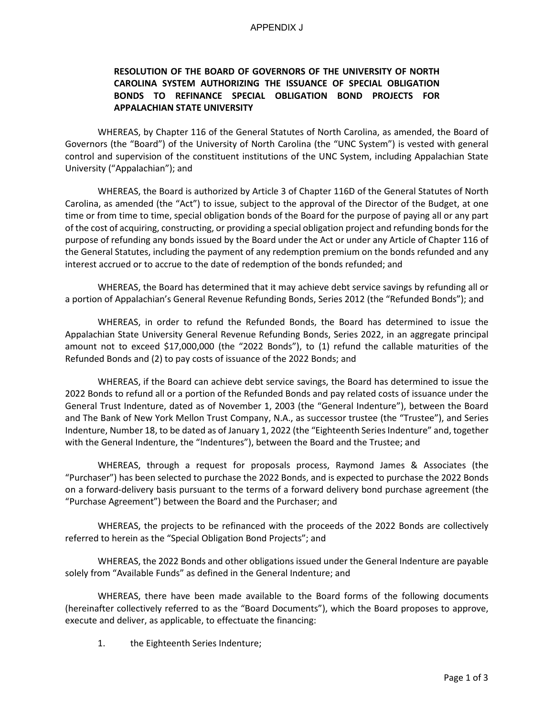#### APPENDIX J

## **RESOLUTION OF THE BOARD OF GOVERNORS OF THE UNIVERSITY OF NORTH CAROLINA SYSTEM AUTHORIZING THE ISSUANCE OF SPECIAL OBLIGATION BONDS TO REFINANCE SPECIAL OBLIGATION BOND PROJECTS FOR APPALACHIAN STATE UNIVERSITY**

WHEREAS, by Chapter 116 of the General Statutes of North Carolina, as amended, the Board of Governors (the "Board") of the University of North Carolina (the "UNC System") is vested with general control and supervision of the constituent institutions of the UNC System, including Appalachian State University ("Appalachian"); and

WHEREAS, the Board is authorized by Article 3 of Chapter 116D of the General Statutes of North Carolina, as amended (the "Act") to issue, subject to the approval of the Director of the Budget, at one time or from time to time, special obligation bonds of the Board for the purpose of paying all or any part of the cost of acquiring, constructing, or providing a special obligation project and refunding bonds for the purpose of refunding any bonds issued by the Board under the Act or under any Article of Chapter 116 of the General Statutes, including the payment of any redemption premium on the bonds refunded and any interest accrued or to accrue to the date of redemption of the bonds refunded; and

WHEREAS, the Board has determined that it may achieve debt service savings by refunding all or a portion of Appalachian's General Revenue Refunding Bonds, Series 2012 (the "Refunded Bonds"); and

WHEREAS, in order to refund the Refunded Bonds, the Board has determined to issue the Appalachian State University General Revenue Refunding Bonds, Series 2022, in an aggregate principal amount not to exceed \$17,000,000 (the "2022 Bonds"), to (1) refund the callable maturities of the Refunded Bonds and (2) to pay costs of issuance of the 2022 Bonds; and

WHEREAS, if the Board can achieve debt service savings, the Board has determined to issue the 2022 Bonds to refund all or a portion of the Refunded Bonds and pay related costs of issuance under the General Trust Indenture, dated as of November 1, 2003 (the "General Indenture"), between the Board and The Bank of New York Mellon Trust Company, N.A., as successor trustee (the "Trustee"), and Series Indenture, Number 18, to be dated as of January 1, 2022 (the "Eighteenth Series Indenture" and, together with the General Indenture, the "Indentures"), between the Board and the Trustee; and

WHEREAS, through a request for proposals process, Raymond James & Associates (the "Purchaser") has been selected to purchase the 2022 Bonds, and is expected to purchase the 2022 Bonds on a forward-delivery basis pursuant to the terms of a forward delivery bond purchase agreement (the "Purchase Agreement") between the Board and the Purchaser; and

WHEREAS, the projects to be refinanced with the proceeds of the 2022 Bonds are collectively referred to herein as the "Special Obligation Bond Projects"; and

WHEREAS, the 2022 Bonds and other obligations issued under the General Indenture are payable solely from "Available Funds" as defined in the General Indenture; and

WHEREAS, there have been made available to the Board forms of the following documents (hereinafter collectively referred to as the "Board Documents"), which the Board proposes to approve, execute and deliver, as applicable, to effectuate the financing:

1. the Eighteenth Series Indenture;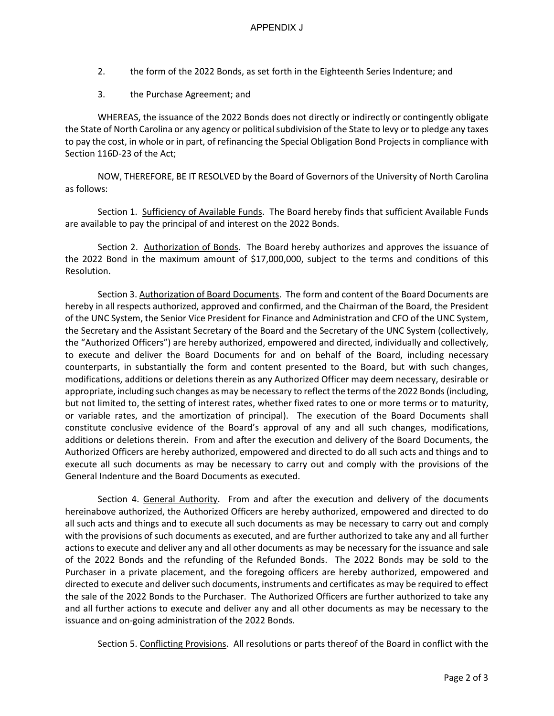- 2. the form of the 2022 Bonds, as set forth in the Eighteenth Series Indenture; and
- 3. the Purchase Agreement; and

WHEREAS, the issuance of the 2022 Bonds does not directly or indirectly or contingently obligate the State of North Carolina or any agency or political subdivision of the State to levy or to pledge any taxes to pay the cost, in whole or in part, of refinancing the Special Obligation Bond Projects in compliance with Section 116D-23 of the Act;

NOW, THEREFORE, BE IT RESOLVED by the Board of Governors of the University of North Carolina as follows:

Section 1. Sufficiency of Available Funds. The Board hereby finds that sufficient Available Funds are available to pay the principal of and interest on the 2022 Bonds.

Section 2. Authorization of Bonds. The Board hereby authorizes and approves the issuance of the 2022 Bond in the maximum amount of \$17,000,000, subject to the terms and conditions of this Resolution.

Section 3. Authorization of Board Documents. The form and content of the Board Documents are hereby in all respects authorized, approved and confirmed, and the Chairman of the Board, the President of the UNC System, the Senior Vice President for Finance and Administration and CFO of the UNC System, the Secretary and the Assistant Secretary of the Board and the Secretary of the UNC System (collectively, the "Authorized Officers") are hereby authorized, empowered and directed, individually and collectively, to execute and deliver the Board Documents for and on behalf of the Board, including necessary counterparts, in substantially the form and content presented to the Board, but with such changes, modifications, additions or deletions therein as any Authorized Officer may deem necessary, desirable or appropriate, including such changes as may be necessary to reflect the terms of the 2022 Bonds (including, but not limited to, the setting of interest rates, whether fixed rates to one or more terms or to maturity, or variable rates, and the amortization of principal). The execution of the Board Documents shall constitute conclusive evidence of the Board's approval of any and all such changes, modifications, additions or deletions therein. From and after the execution and delivery of the Board Documents, the Authorized Officers are hereby authorized, empowered and directed to do all such acts and things and to execute all such documents as may be necessary to carry out and comply with the provisions of the General Indenture and the Board Documents as executed.

Section 4. General Authority. From and after the execution and delivery of the documents hereinabove authorized, the Authorized Officers are hereby authorized, empowered and directed to do all such acts and things and to execute all such documents as may be necessary to carry out and comply with the provisions of such documents as executed, and are further authorized to take any and all further actions to execute and deliver any and all other documents as may be necessary for the issuance and sale of the 2022 Bonds and the refunding of the Refunded Bonds. The 2022 Bonds may be sold to the Purchaser in a private placement, and the foregoing officers are hereby authorized, empowered and directed to execute and deliver such documents, instruments and certificates as may be required to effect the sale of the 2022 Bonds to the Purchaser. The Authorized Officers are further authorized to take any and all further actions to execute and deliver any and all other documents as may be necessary to the issuance and on-going administration of the 2022 Bonds.

Section 5. Conflicting Provisions. All resolutions or parts thereof of the Board in conflict with the